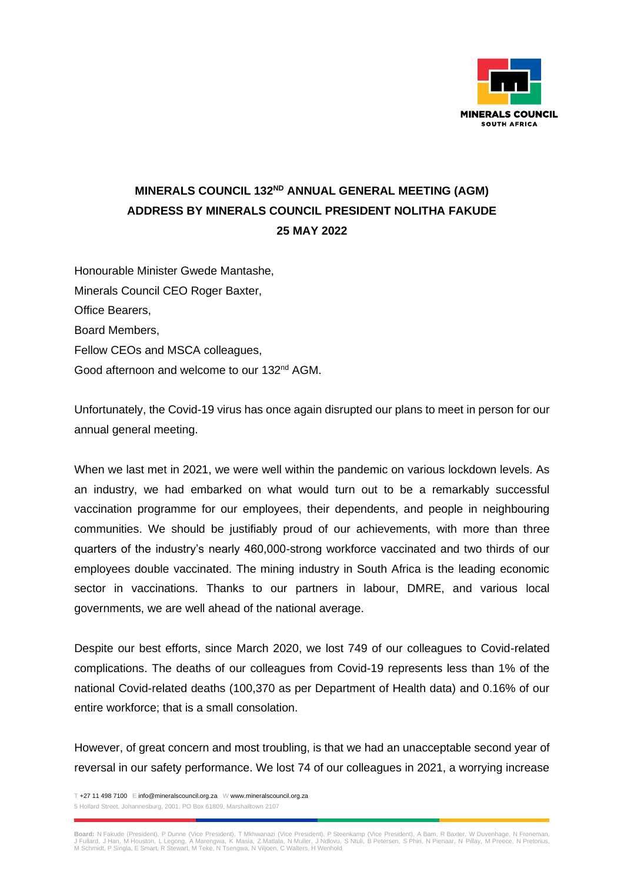

## **MINERALS COUNCIL 132ND ANNUAL GENERAL MEETING (AGM) ADDRESS BY MINERALS COUNCIL PRESIDENT NOLITHA FAKUDE 25 MAY 2022**

Honourable Minister Gwede Mantashe, Minerals Council CEO Roger Baxter, Office Bearers, Board Members, Fellow CEOs and MSCA colleagues, Good afternoon and welcome to our 132<sup>nd</sup> AGM.

Unfortunately, the Covid-19 virus has once again disrupted our plans to meet in person for our annual general meeting.

When we last met in 2021, we were well within the pandemic on various lockdown levels. As an industry, we had embarked on what would turn out to be a remarkably successful vaccination programme for our employees, their dependents, and people in neighbouring communities. We should be justifiably proud of our achievements, with more than three quarters of the industry's nearly 460,000-strong workforce vaccinated and two thirds of our employees double vaccinated. The mining industry in South Africa is the leading economic sector in vaccinations. Thanks to our partners in labour, DMRE, and various local governments, we are well ahead of the national average.

Despite our best efforts, since March 2020, we lost 749 of our colleagues to Covid-related complications. The deaths of our colleagues from Covid-19 represents less than 1% of the national Covid-related deaths (100,370 as per Department of Health data) and 0.16% of our entire workforce; that is a small consolation.

However, of great concern and most troubling, is that we had an unacceptable second year of reversal in our safety performance. We lost 74 of our colleagues in 2021, a worrying increase

T +27 11 498 7100 E info@mineralscouncil.org.za W www.mineralscouncil.org.za 5 Hollard Street, Johannesburg, 2001, PO Box 61809, Marshalltown 2107

**Board:** N Fakude (President), P Dunne (Vice President), T Mkhwanazi (Vice President), P Steenkamp (Vice President), A Bam, R Baxter, W Duvenhage, N Froneman,<br>J Fullard, J Han, M Houston, L Legong, A Marengwa, K Masia, Z M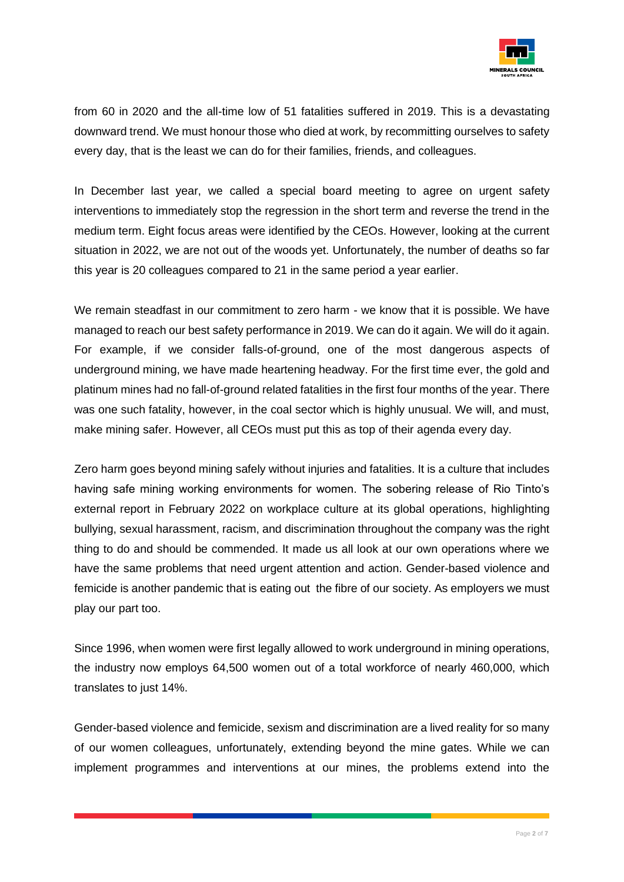

from 60 in 2020 and the all-time low of 51 fatalities suffered in 2019. This is a devastating downward trend. We must honour those who died at work, by recommitting ourselves to safety every day, that is the least we can do for their families, friends, and colleagues.

In December last year, we called a special board meeting to agree on urgent safety interventions to immediately stop the regression in the short term and reverse the trend in the medium term. Eight focus areas were identified by the CEOs. However, looking at the current situation in 2022, we are not out of the woods yet. Unfortunately, the number of deaths so far this year is 20 colleagues compared to 21 in the same period a year earlier.

We remain steadfast in our commitment to zero harm - we know that it is possible. We have managed to reach our best safety performance in 2019. We can do it again. We will do it again. For example, if we consider falls-of-ground, one of the most dangerous aspects of underground mining, we have made heartening headway. For the first time ever, the gold and platinum mines had no fall-of-ground related fatalities in the first four months of the year. There was one such fatality, however, in the coal sector which is highly unusual. We will, and must, make mining safer. However, all CEOs must put this as top of their agenda every day.

Zero harm goes beyond mining safely without injuries and fatalities. It is a culture that includes having safe mining working environments for women. The sobering release of Rio Tinto's external report in February 2022 on workplace culture at its global operations, highlighting bullying, sexual harassment, racism, and discrimination throughout the company was the right thing to do and should be commended. It made us all look at our own operations where we have the same problems that need urgent attention and action. Gender-based violence and femicide is another pandemic that is eating out the fibre of our society. As employers we must play our part too.

Since 1996, when women were first legally allowed to work underground in mining operations, the industry now employs 64,500 women out of a total workforce of nearly 460,000, which translates to just 14%.

Gender-based violence and femicide, sexism and discrimination are a lived reality for so many of our women colleagues, unfortunately, extending beyond the mine gates. While we can implement programmes and interventions at our mines, the problems extend into the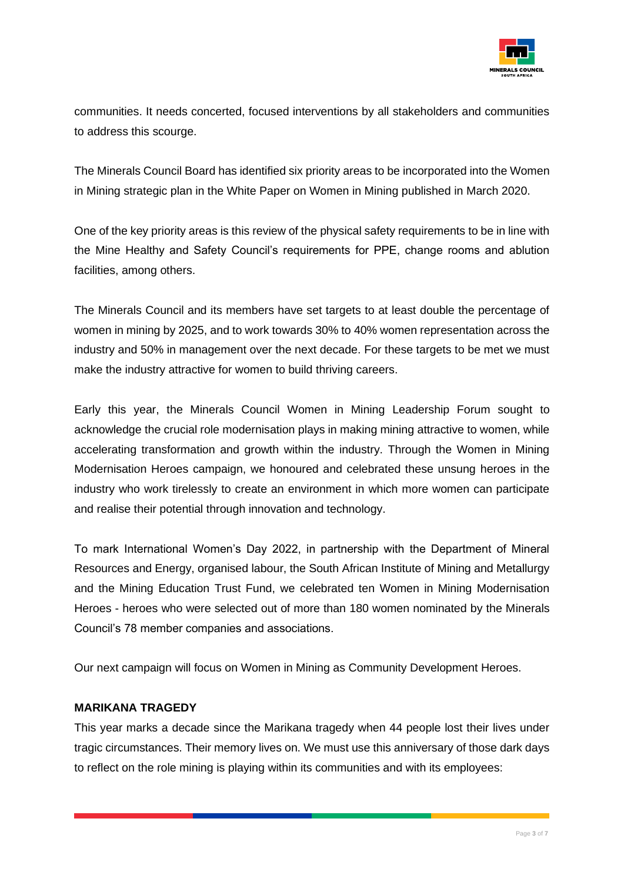

communities. It needs concerted, focused interventions by all stakeholders and communities to address this scourge.

The Minerals Council Board has identified six priority areas to be incorporated into the Women in Mining strategic plan in the White Paper on Women in Mining published in March 2020.

One of the key priority areas is this review of the physical safety requirements to be in line with the Mine Healthy and Safety Council's requirements for PPE, change rooms and ablution facilities, among others.

The Minerals Council and its members have set targets to at least double the percentage of women in mining by 2025, and to work towards 30% to 40% women representation across the industry and 50% in management over the next decade. For these targets to be met we must make the industry attractive for women to build thriving careers.

Early this year, the Minerals Council Women in Mining Leadership Forum sought to acknowledge the crucial role modernisation plays in making mining attractive to women, while accelerating transformation and growth within the industry. Through the Women in Mining Modernisation Heroes campaign, we honoured and celebrated these unsung heroes in the industry who work tirelessly to create an environment in which more women can participate and realise their potential through innovation and technology.

To mark International Women's Day 2022, in partnership with the Department of Mineral Resources and Energy, organised labour, the South African Institute of Mining and Metallurgy and the Mining Education Trust Fund, we celebrated ten Women in Mining Modernisation Heroes - heroes who were selected out of more than 180 women nominated by the Minerals Council's 78 member companies and associations.

Our next campaign will focus on Women in Mining as Community Development Heroes.

## **MARIKANA TRAGEDY**

This year marks a decade since the Marikana tragedy when 44 people lost their lives under tragic circumstances. Their memory lives on. We must use this anniversary of those dark days to reflect on the role mining is playing within its communities and with its employees: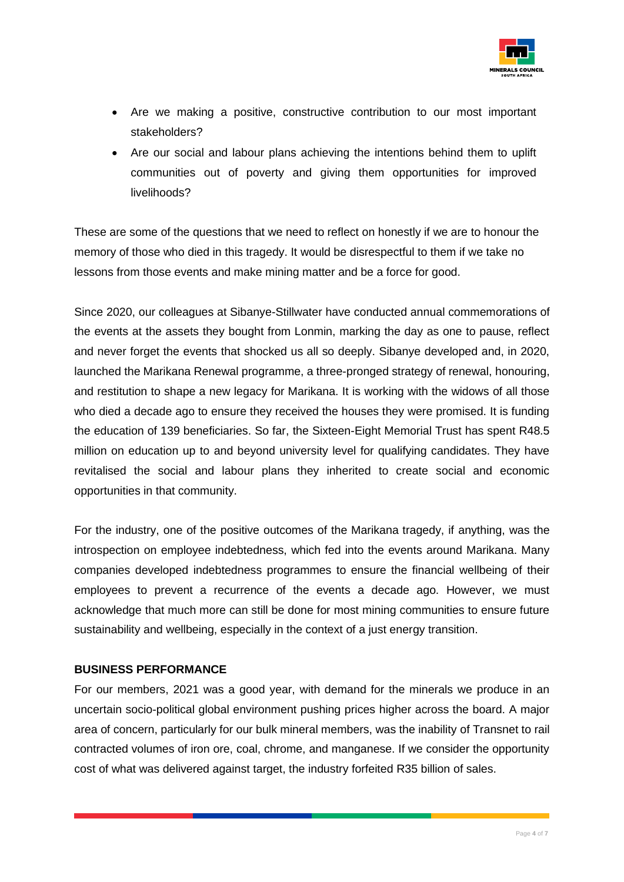

- Are we making a positive, constructive contribution to our most important stakeholders?
- Are our social and labour plans achieving the intentions behind them to uplift communities out of poverty and giving them opportunities for improved livelihoods?

These are some of the questions that we need to reflect on honestly if we are to honour the memory of those who died in this tragedy. It would be disrespectful to them if we take no lessons from those events and make mining matter and be a force for good.

Since 2020, our colleagues at Sibanye-Stillwater have conducted annual commemorations of the events at the assets they bought from Lonmin, marking the day as one to pause, reflect and never forget the events that shocked us all so deeply. Sibanye developed and, in 2020, launched the Marikana Renewal programme, a three-pronged strategy of renewal, honouring, and restitution to shape a new legacy for Marikana. It is working with the widows of all those who died a decade ago to ensure they received the houses they were promised. It is funding the education of 139 beneficiaries. So far, the Sixteen-Eight Memorial Trust has spent R48.5 million on education up to and beyond university level for qualifying candidates. They have revitalised the social and labour plans they inherited to create social and economic opportunities in that community.

For the industry, one of the positive outcomes of the Marikana tragedy, if anything, was the introspection on employee indebtedness, which fed into the events around Marikana. Many companies developed indebtedness programmes to ensure the financial wellbeing of their employees to prevent a recurrence of the events a decade ago. However, we must acknowledge that much more can still be done for most mining communities to ensure future sustainability and wellbeing, especially in the context of a just energy transition.

## **BUSINESS PERFORMANCE**

For our members, 2021 was a good year, with demand for the minerals we produce in an uncertain socio-political global environment pushing prices higher across the board. A major area of concern, particularly for our bulk mineral members, was the inability of Transnet to rail contracted volumes of iron ore, coal, chrome, and manganese. If we consider the opportunity cost of what was delivered against target, the industry forfeited R35 billion of sales.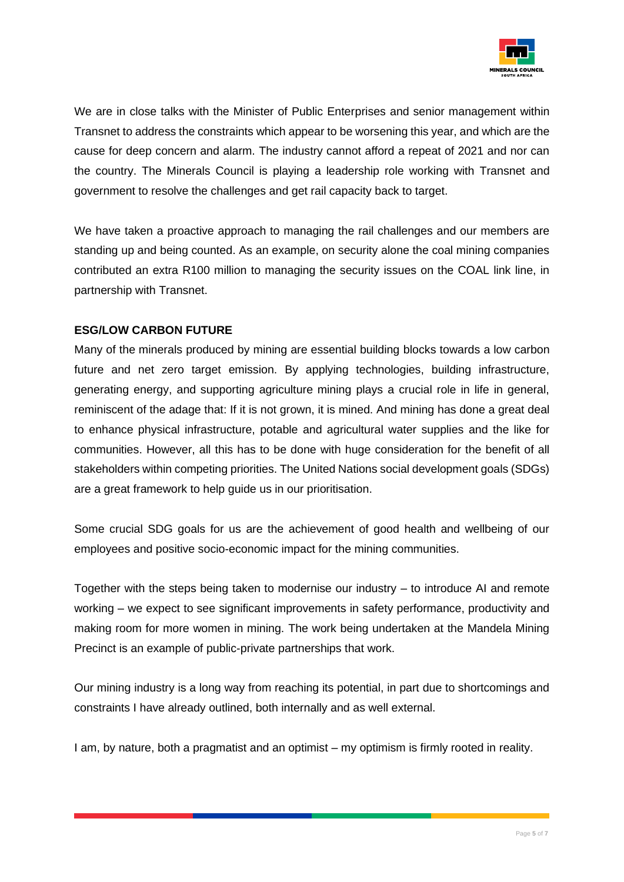

We are in close talks with the Minister of Public Enterprises and senior management within Transnet to address the constraints which appear to be worsening this year, and which are the cause for deep concern and alarm. The industry cannot afford a repeat of 2021 and nor can the country. The Minerals Council is playing a leadership role working with Transnet and government to resolve the challenges and get rail capacity back to target.

We have taken a proactive approach to managing the rail challenges and our members are standing up and being counted. As an example, on security alone the coal mining companies contributed an extra R100 million to managing the security issues on the COAL link line, in partnership with Transnet.

## **ESG/LOW CARBON FUTURE**

Many of the minerals produced by mining are essential building blocks towards a low carbon future and net zero target emission. By applying technologies, building infrastructure, generating energy, and supporting agriculture mining plays a crucial role in life in general, reminiscent of the adage that: If it is not grown, it is mined. And mining has done a great deal to enhance physical infrastructure, potable and agricultural water supplies and the like for communities. However, all this has to be done with huge consideration for the benefit of all stakeholders within competing priorities. The United Nations social development goals (SDGs) are a great framework to help guide us in our prioritisation.

Some crucial SDG goals for us are the achievement of good health and wellbeing of our employees and positive socio-economic impact for the mining communities.

Together with the steps being taken to modernise our industry – to introduce AI and remote working – we expect to see significant improvements in safety performance, productivity and making room for more women in mining. The work being undertaken at the Mandela Mining Precinct is an example of public-private partnerships that work.

Our mining industry is a long way from reaching its potential, in part due to shortcomings and constraints I have already outlined, both internally and as well external.

I am, by nature, both a pragmatist and an optimist – my optimism is firmly rooted in reality.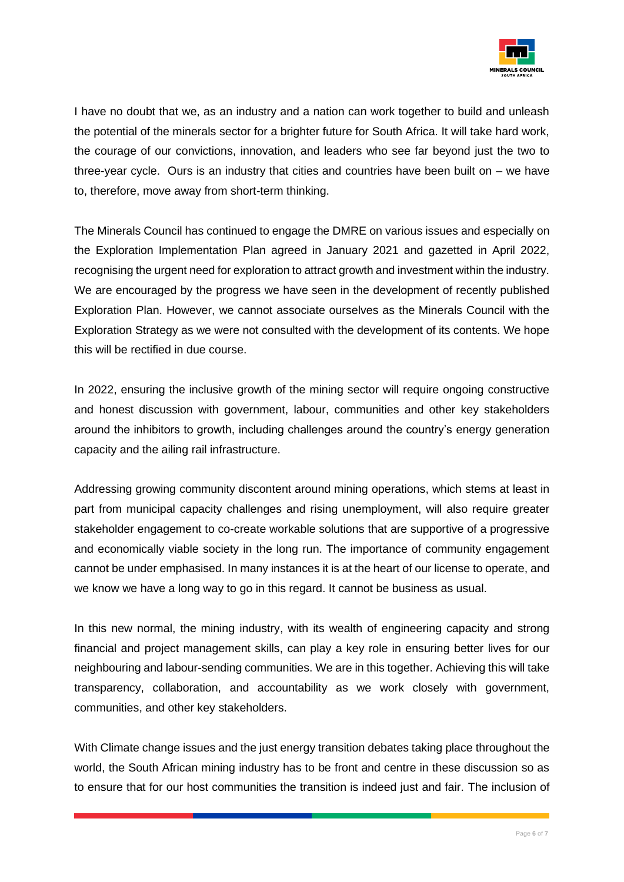

I have no doubt that we, as an industry and a nation can work together to build and unleash the potential of the minerals sector for a brighter future for South Africa. It will take hard work, the courage of our convictions, innovation, and leaders who see far beyond just the two to three-year cycle. Ours is an industry that cities and countries have been built on – we have to, therefore, move away from short-term thinking.

The Minerals Council has continued to engage the DMRE on various issues and especially on the Exploration Implementation Plan agreed in January 2021 and gazetted in April 2022, recognising the urgent need for exploration to attract growth and investment within the industry. We are encouraged by the progress we have seen in the development of recently published Exploration Plan. However, we cannot associate ourselves as the Minerals Council with the Exploration Strategy as we were not consulted with the development of its contents. We hope this will be rectified in due course.

In 2022, ensuring the inclusive growth of the mining sector will require ongoing constructive and honest discussion with government, labour, communities and other key stakeholders around the inhibitors to growth, including challenges around the country's energy generation capacity and the ailing rail infrastructure.

Addressing growing community discontent around mining operations, which stems at least in part from municipal capacity challenges and rising unemployment, will also require greater stakeholder engagement to co-create workable solutions that are supportive of a progressive and economically viable society in the long run. The importance of community engagement cannot be under emphasised. In many instances it is at the heart of our license to operate, and we know we have a long way to go in this regard. It cannot be business as usual.

In this new normal, the mining industry, with its wealth of engineering capacity and strong financial and project management skills, can play a key role in ensuring better lives for our neighbouring and labour-sending communities. We are in this together. Achieving this will take transparency, collaboration, and accountability as we work closely with government, communities, and other key stakeholders.

With Climate change issues and the just energy transition debates taking place throughout the world, the South African mining industry has to be front and centre in these discussion so as to ensure that for our host communities the transition is indeed just and fair. The inclusion of